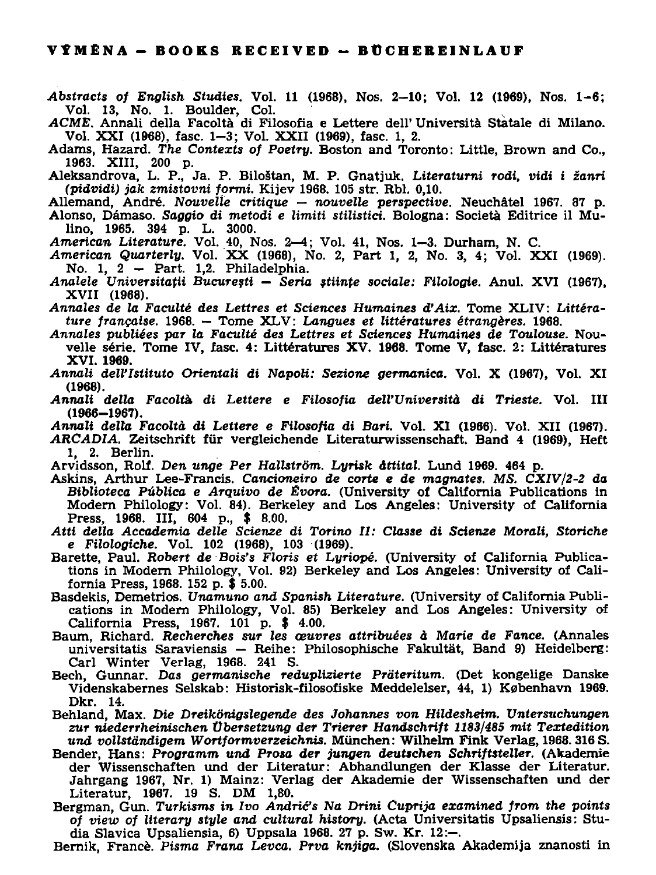*Abstracts of English Studies.* **Vol. 11 (1968), Nos. 2-10; Vol. 12 (1969), Nos. 1-6; Vol. 13, No. 1. Boulder, Col.** 

*ACME.* **Annali della Facoltá di Filosofia e Lettere dell' Universita Statale di Milano. Vol. XXI (1968), fasc. 1-3; Vol. XXII (1969), fasc. 1, 2.** 

**Adams, Hazard.** *The Contexts of Poetry.* **Boston and Toronto: Little, Brown and Co., 1963. XIII, 200 p.** 

**Aleksandrova, L. P., Ja. P. Biloštan, M. P. Gnatjuk.** *Literaturni rodi, vidi i žanri (pidvidi) jak zmistovni fprmi.* **Kijev 1968. 105 str. Rbl. 0,10.** 

**Allemand, André.** *Nouvelle critique — nouvelle perspective.* **Neuchátel 1967. 87 p. Alonso, Dámaso.** *Saggio di metodi e limiti stilistici.* **Bologna: Societa Editrice il Mulino, 1965. 394 p. L. 3000.** 

- *American Literatuře.* **Vol. 40, Nos. 2—4; Vol. 41, Nos. 1—3. Durham, N. C.**
- *American Quarterly.* **Vol. X X (1968), No. 2, Part 1, 2, No. 3, 4; Vol. XXI (1969). No. 1, 2 - Part. 1,2. Philadelphia.**
- *Analele Vniversitafii Bucuresti Seria stiinfe sociále: Filologie.* **Anul. XVI (1967), XVII (1968).**

*Annales de la Faculté des Lettres et Sciences Humaines ďAix.* **Tome XLIV:** *Littérature francaise.* **1968. — Tome XLV :** *Langues et littératures étrangěres.* **1968.** 

*Annales publiées par la Faculté des Lettres et Sciences Humaines de Toulouse.* **Nouvelle série. Tome IV, íasc. 4: Littératures XV. 1968. Tome V, fasc. 2: Littératures XVI. 1969.** 

- *Annali delVIstituto Orientali di NapoU: Sezione germanica.* **Vol. X (1967), Vol. XI (1968).**
- *Annali della Facoltá di Lettere e Filosofia delVUniversitá di Trieste.* **Vol. III (1966-1967).**

*Annali della Facoltá. di Lettere e Filosofia di Bari.* **Vol. XI (1966). Vol. XII (1967).** 

- *ARCADIA.* **Zeitschrift fiir vergleichende Literaturwissenschaft. Band 4 (1969), Heft 1, 2. Berlin.**
- **Arvidsson, Rolí.** *Den unge Per Hallstróm. Lyrisk áttital.* **Lund 1969. 464 p.**
- **Askins, Arthur Lee-Francis.** *Cancioneiro de corte e de magnates. MS. CXIV/2-2 da Biblioteca* **Publica** *e Arquivo de Evora.* **(University of California Publications in Modern Philology: Vol. 84). Berkeley and Los Angeles: University of California Press, 1968. III, 604 p., \$ 8.00.**
- *Atti della Accademia delle Scienze di Torino II: Classe di Scienze Morali, Storiche e Filologické.* **Vol. 102 (1968), 103 (1969).**
- **Barette, Paul.** *Robert de Bois's Floris et Lyriopé.* **(University of California Publications in Modern Philology, Vol. 92) Berkeley and Los Angeles: University of California Press, 1968. 152 p. \$ 5.00.**
- Basdekis, Demetrios. Unamuno and Spanish Literature. (University of California Publi**cations in Modern Philology, Vol. 85) Berkeley and Los Angeles: University of California Press, 1967. 101 p. \$ 4.00.**
- **Baum, Richard.** *Recherches SUT les oeuvres attribuées á Marie de Fance.* **(Annales universitatis Saraviensis — Reihe: Philosophische Fakultat, Band 9) Heidelberg: Caři Winter Verlag, 1968. 241 S.**
- **Bech, Gunnar. Dos** *germanische reduplizierte Préteritum.* **(Det kongelige Danske Videnskabernes Selskab: Historisk-filosofiske Meddelelser, 44, 1) Kobenhavn 1969. Dkr. 14.**
- **Behland, Max.** *Die Dreikonigslegende des Johannes von Hildesheim. Vntersuchungen zur niederrheinischen Vbersetzung der Trierer Handschrift 1183/485 mit Textedition und vollstándigem Wortformverzeichnis.* **Munchen: Wilhelm Fink Verlag, 1968. 316 S.**
- **Bender, Hans:** *Programm und Prosa der jungen deutschen SchriftsteUer.* **(Akademie der Wissenschaften und der Literatur: Abhandlungen der Klasse der Literatur. Jahrgang 1967, Nr. 1) Mainz: Verlag der Akademie der Wissenschaften und der Literatur, 1967. 19 S. DM 1,80.**
- **Bergman, Gun.** *Turkisms in Ivo Andri&s Na Drini Cuprija examined from the points of view of literary style and cultural history.* **(Acta Universitatis Upsaliensis: Studia Slavica Upsaliensia, 6) Uppsala 1968. 27 p. Sw. Kr. 12:-.**
- **Bernik, France.** *Pisma Frana Levca. Prva knjiga.* **(Slovenska Akademija znanosti in**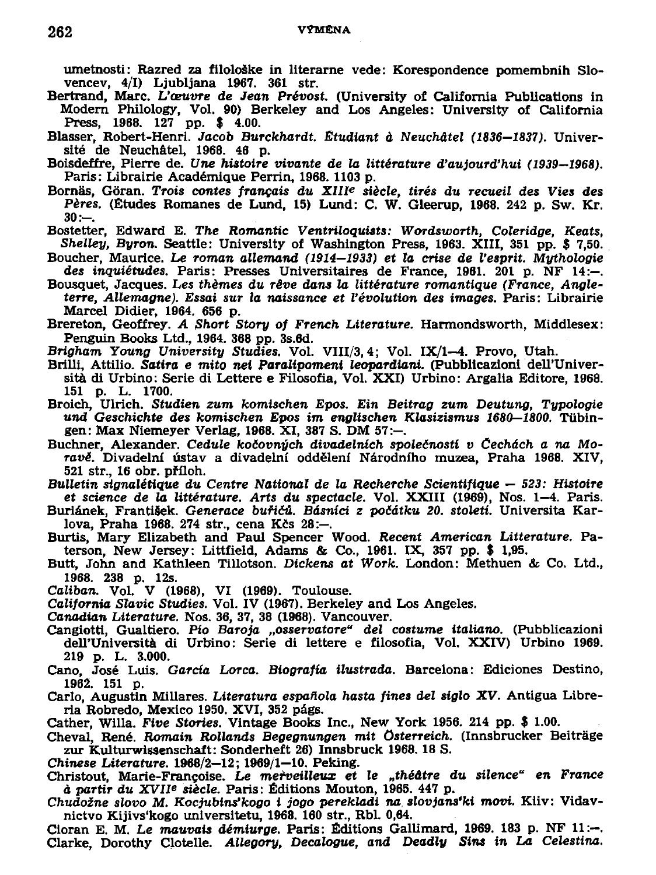umetnosti: Razred za filološke in literarne vede: Korespondence pomembnih Slo**vencev, 4/1) Ljubljana 1967. 361 str.** 

- **Bertrand, Maře.** *Vaeuvre* **de** *Jean Prévost.* **(University of Caliíornia Publications in Modem Philology, Vol. 90) Berkeley and Los Angeles: University of California Press, 1968. 127 pp. \$ 4.00.**
- **Blasser, Robert-Henri.** *Jacob Burckhardt. Etudlant á Neuchátel (1836—1837).* **Universit de Neuchátel, 1968. 46 p.**
- **Boisdeffre, Pierre de.** *Hne histoire vivante de la littérature ďaujourďhui (1939—1968).*  **Paris: Librairie Académique Perrin, 1968. 1103 p.**
- **Bornás, Góran.** *Trois contes francais du XIII\* siěcle, tirés du recueil des Vies des Pěres.* **(Études Romanes de Lund, 15) Lund: C. W. Gleerup, 1968. 242 p. Sw. Kr.**   $30: -$
- **Bostetter, Edward E.** *The Romantic Ventríloquiats: Wordsworth, Coleridge, Keats, Shelley, Byron.* **Seattle: University of Washington Press, 1963. XIII, 351 pp. \$ 7,50.**
- **Boucher, Maurice.** *Le roman allemand (1914—1933) et la erise de Vesprit. Mythologie des inquiětudes.* **Paris: Presses Universitaires de France, 1961. 201 p. NF 14:—.**
- **Bousquet, Jacques.** *Les thěmes du révě dans la littérature romantique (France, Angleterre, Allemagne). Essai sur la naissance et Vévolution des images.* **Paris: Librairie Marcel Didier, 1964. 656 p.**
- **Brereton, Geoffrey.** *A Short Story of French Literatuře.* **Harmondsworth, Middlesex: Penguin Books Ltd., 1964. 388 pp. 3s.6d.**
- *Brigham Young University Studies.* **Vol. VIII/3,4; Vol. IX/l—4. Provo, Utah.**
- Brilli, Attilio. Satira e mito nei Paralipomeni leopardiani. (Pubblicazioni dell'Univer**sitá di Urbino: Série di Lettere e Filosofia, Vol. XXI) Urbino: Argalia Editore, 1968. 151 p. L. 1700.**
- **Broich, Ulrich.** *Studien zum komischen Epos. Ein Beitrag zum Deutung, Typologie und Geschichte des komischen Epos im englischen Klasizismus 1680—1800.* **Tiibin**gen: Max Niemeyer Verlag, 1968. XI, 387 S. DM 57:-
- **Buchner, Alexander.** *Cedule kočovných divadelních společností v Čechách a na Moravě.* **Divadelní ústav a divadelní oddělení Národního muzea, Praha 1968. XIV, 521 str., 16 obr. příloh.**
- *Bulletin signalétique du Centre National de la Recherche Scientifique 523: Histoire et science de la littérature. Arts du spectacle.* **Vol. XXIII (1969), Nos. 1—4. Paris.**
- **Buriánek, František.** *Generace buřičů. Básníci z počátku 20. století.* **Universita Karlova, Praha 1968. 274 str., cena Kčs 28:-.**
- **Burtis, Mary Elizabeth and Paul Spencer Wood.** *Recent American Littérature.* **Paterson, New Jersey: Littfield, Adams & Co., 1961. IX, 357 pp. \$ 1,95.**
- **Butt, John and Kathleen Tillotson.** *Dickens at Work.* **London: Methuen & Co. Ltd., 1968. 238 p. 12s.**
- *Cáliban.* **Vol. V (1968), VI (1969). Toulouse.**
- *California Slavic Studies.* **Vol. IV (1967). Berkeley and Los Angeles.**
- *Canadian Literatuře.* **Nos. 36, 37, 38 (1968). Vancouver.**
- **Cangiotti, Gualtiero.** *Pio Baroja "osservatore" del costume italiano.* **(Pubblicazloni**  dell'Università di Urbino: Serie di lettere e filosofia, Vol. XXIV) Urbino 1969. **219 p. L. 3.000.**
- Cano, José Luis. *García Lorca, Biografía ilustrada*. Barcelona: Ediciones Destino, **1962. 151 p.**
- **Carlo, Augustin Millares.** *Literatura espaňola hasta fines del siglo XV.* **Antigua Libreria Robredo, Mexico 1950. XVI, 352 págs.**
- **Cather, Willa.** *Five Stories.* **Vintage Books Inc., New York 1956. 214 pp. \$ 1.00.**
- **Cheval, René.** *Romain Rollands Begegnungen mit Osterreich.* **(Innsbrucker Beitráge**  zur Kulturwissenschaft: Sonderheft 26) Innsbruck 1968. 18 S.
- *Chinese Literatuře.* **1968/2—12; 1969/1—10. Peking.**
- **Christout, Marie-Francoise.** *Le meřveilleux et le "théátre du silence" en France á partir du XVU\** **siěcle. Paris: Éditions Mouton, 1965. 447 p.**
- *Chudožne slovo M. Kocjubinťkogo i jogo perekladi na. slovjans'ki movi.* **Kiiv: Vidavnictvo Kijivs'kogo unlversitetu, 1968. 160 str., Rbl. 0,64.**
- **Cloran E. M. Le** *mauvais démiurge.* **Paris: Éditions Gallimard, 1969. 183 p. NF 11:-. Clarke, Dorothy Clotelle.** *Allegory, Decalogue, and Deadly Siní in La Celestina.*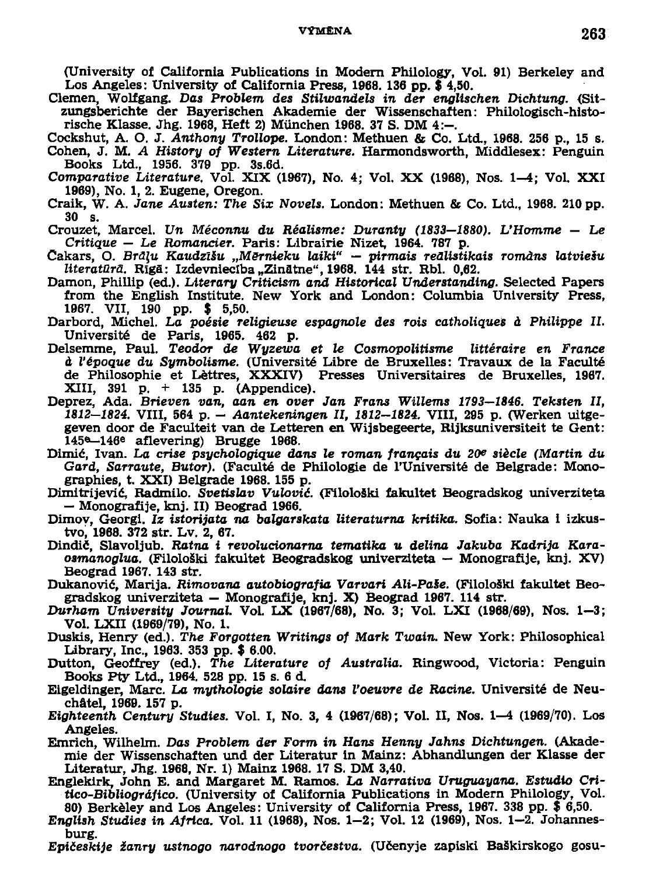## **VÝMENA**

(University of California Publications in Modern Philology, Vol. 91) Berkeley and Los Angeles: University of California Press, 1968. 136 pp. \$ 4,50.

Clemen, Wolfgang, Das Problem des Stilwandels in der englischen Dichtung. (Sitzungsberichte der Bayerischen Akademie der Wissenschaften: Philologisch-historische Klasse, Jhg. 1968. Heft 2) München 1968. 37 S. DM  $4:-$ .

- Cockshut, A. O. J. Anthony Trollope. London: Methuen & Co. Ltd., 1968. 256 p., 15 s. Cohen, J. M. A History of Western Literature. Harmondsworth, Middlesex: Penguin Books Ltd., 1956. 379 pp. 3s.6d.
- Comparative Literature, Vol. XIX (1967), No. 4: Vol. XX (1968), Nos. 1–4: Vol. XXI 1969), No. 1, 2. Eugene, Oregon.
- Craik, W. A. Jane Austen: The Six Novels. London: Methuen & Co. Ltd., 1968. 210 pp. 30 s.

Crouzet, Marcel, Un Méconnu du Réalisme: Duranty (1833-1880), L'Homme - Le Critique – Le Romancier. Paris: Librairie Nizet, 1964, 787 p.

- Čakars, O. Brāļu Kaudzīšu "Mērnieku laiki" pirmais reālistikais romāns latviešu literatūrā. Rīgā: Izdevniecība "Zinātne", 1968. 144 str. Rbl. 0,62.
- Damon, Phillip (ed.), Literary Criticism and Historical Understanding, Selected Papers from the English Institute. New York and London: Columbia University Press, 1967. VII, 190 pp. \$ 5,50.
- Darbord, Michel. La poésie religieuse espagnole des rois catholiques à Philippe II. Université de Paris, 1965. 462 p.
- Delsemme, Paul. Teodor de Wyzewa et le Cosmopolitisme littéraire en France à l'époque du Symbolisme. (Université Libre de Bruxelles: Travaux de la Faculté de Philosophie et Lèttres, XXXIV) Presses Universitaires de Bruxelles, 1967. XIII, 391 p. + 135 p. (Appendice).
- Deprez, Ada. Brieven van, aan en over Jan Frans Willems 1793-1846. Teksten II. 1812-1824. VIII, 564 p. - Aantekeningen II, 1812-1824. VIII, 295 p. (Werken uitgegeven door de Faculteit van de Letteren en Wijsbegeerte, Rijksuniversiteit te Gent: 145<sup>e</sup>-146<sup>e</sup> aflevering) Brugge 1968.
- Dimić, Ivan. La crise psychologique dans le roman français du 20<sup>e</sup> siècle (Martin du Gard, Sarraute, Butor). (Faculté de Philologie de l'Université de Belgrade: Monographies, t. XXI) Belgrade 1968. 155 p.
- Dimitrijević, Radmilo, Švetislav Vulović, (Filološki fakultet Beogradskog univerziteta - Monografije, knj. II) Beograd 1966.
- Dimov, Georgi. Iz istorijata na balgarskata literaturna kritika. Sofia: Nauka i izkustvo. 1968. 372 str. Lv. 2. 67.
- Dindič, Slavoljub. Ratna i revolucionarna tematika u delina Jakuba Kadrija Karaosmanoglua. (Filološki fakultet Beogradskog univerziteta — Monografije, knj. XV) Beograd 1967, 143 str.
- Dukanović, Marija, Rimovana autobiografia Varvari Ali-Paše. (Filološki fakultet Beogradskog univerziteta – Monografije, knj. X) Beograd 1967. 114 str.
- Durham University Journal. Vol. LX (1967/68), No. 3; Vol. LXI (1968/69), Nos. 1-3; Vol. LXII (1969/79), No. 1.
- Duskis, Henry (ed.). The Forgotten Writings of Mark Twain. New York: Philosophical Library, Inc., 1963. 353 pp. \$ 6.00.
- Dutton, Geoffrey (ed.), The Literature of Australia. Ringwood, Victoria: Penguin Books Pty Ltd., 1964. 528 pp. 15 s. 6 d.
- Eigeldinger, Marc. La mythologie solaire dans l'oeuvre de Racine. Université de Neuchâtel, 1969. 157 p.
- Eighteenth Century Studies. Vol. I, No. 3, 4 (1967/68); Vol. II, Nos. 1-4 (1969/70). Los Angeles.
- Emrich, Wilhelm, Das Problem der Form in Hans Henny Jahns Dichtungen. (Akademie der Wissenschaften und der Literatur in Mainz: Abhandlungen der Klasse der Literatur, Jhg. 1968, Nr. 1) Mainz 1968. 17 S. DM 3,40.
- Englekirk, John E. and Margaret M. Ramos. La Narrativa Uruguayana. Estudio Critico-Bibliográfico. (University of California Publications in Modern Philology, Vol. 80) Berkèley and Los Angeles: University of California Press, 1967. 338 pp. \$ 6,50.
- English Studies in Africa. Vol. 11 (1968), Nos. 1-2; Vol. 12 (1969), Nos. 1-2. Johannesburg.
- Epičeskije žanry ustnogo narodnogo tvorčestva. (Učenyje zapiski Baškirskogo gosu-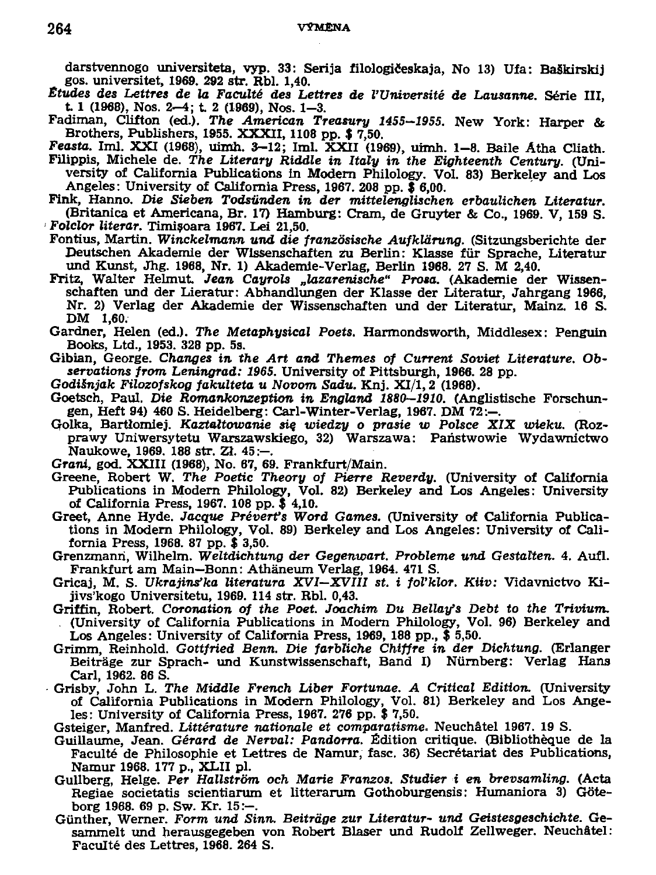**darstvennogo universiteta, vyp. 33: Serija íilologičeskaja, No 13) Ufa: BaSkirskij gos. universitet, 1969. 292 str. Rbl. 1,40.** 

- *Etudes des Lettres de la Faculté des Lettres de 1'Université de Lausanne.* **Série III, t 1 (1968), Nos. 2-4; t 2 (1969), Nos. 1-3.**
- **Fadiman, Clifton (ed.).** *The American Treasury 1455—1955.* **New York: Harper & Brothers, Publishers, 1955. XXXII, 1108 pp. \$ 7,50.**
- *Feasta.* **Iml. XXI (1968), uimh. 3-12; Iml. XXII (1969), uimh. 1-8. Baile Atha Cliath. Filippis, Michele de.** *The Literáty Riddle in Italy in the Eighteenth Century.* **(University of Califomia Publications in Modem Philology. Vol. 83) Berkeley and Los Angeles: University of Califomia Press, 1967. 208 pp. \$ 6,00.**

**Fink, Hanno.** *Die Sieben Todsiinden in der mittelenglischen erbaulichen Literatur.*  **(Britanica et Američana, Br. 17) Hamburg: Cram, de Gruyter & Co., 1969. V, 159 S.** 

**Folclor** *literar.* **Timisoara 1967. Lei 21,50.** 

**Fontius, Martin.** *Winckelmann und die franzósische Aufkldrung.* **(Sitzungsberichte der Deutschen Akademie der Wissenschaften zu Berlin: Klasse fiir Sprache, Literatur und Kunst, Jhg. 1968, Nr. 1) Akademie-Verlag, Berlin 1968. 27 S. M 2,40.** 

- **Fritz, Walter Helmut** *Jean Cayrols "lazarenische" Prosa.* **(Akademie der Wissenschaften und der Lieratur: Abhandlungen der Klasse der Literatur, Jahrgang 1966, Nr. 2) Verlag der Akademie der Wissenschaften und der Literatur, Mainz. 16 S. DM 1,60.**
- **Gardner, Helen (ed.).** *The Metaphysical Poets.* **Harmondsworth, Middlesex: Penguin Books, Ltd., 1953. 328 pp. 5s.**
- **Gibian, George.** *Changes in the Art and Themes of Current Soviet Literatuře. Observations from Leningrad: 1965.* **University of Pittsburgh, 1966. 28 pp.**
- *Godiinjak Filozofskog fakulteta u Novom Sadu.* **Knj. XI/1,2 (1968).**
- **Goetsch, Paul.** *Die Romankonzeption in England 1880—1910.* **(Anglistische Forschungen, Heft 94) 460 S. Heidelberg: Caři-Winter-Verlag, 1967. DM 72:-.**
- Golka, Bartlomiej. Kaztałtowanie się wiedzy o prasie w Polsce XIX wieku. (Roz**prawy Uniwersytetu Warszawskiego, 32) Warszawa: Paňstwowie Wydawnictwo**  Naukowe, 1969. 188 str. Zł. 45:-
- *Grani,* **god. XXIII (1968), No. 67, 69. Frankfurt/Main.**
- **Greene, Robert W.** *The Poetic Theory of Pierre Reverdy.* **(University of Califomia Publications in Modem Philology, Vol. 82) Berkeley and Los Angeles: University of Califomia Press, 1967. 108 pp. \$ 4,10.**
- **Greet, Anne Hyde.** *Jacque Préverťs Word Games.* **(University of Califomia Publications in Modem Philology, Vol. 89) Berkeley and Los Angeles: University of Califomia Press, 1968. 87 pp. \$ 3,50.**
- **Grenzmanri, Wilhelm.** *Weltdichtung der Gegenwart. Probléme und Gestatten.* **4. Aufl. Frankfurt am Main—Bonn: Athaneum Verlag, 1964. 471 S.**
- **Gricaj, M. S.** *Ukrajinťka literatura XVI—XVIII st. i foVklor. Kiiv:* **Vidavnictvo Ki jivs'kogo Universitetu, 1969. 114 str. Rbl. 0,43.**
- **Griffin, Robert.** *Coronation of the Poet. Joachim Du Bellatfs Debt to the Trivium.*  **(University of Califomia Publications in Modem Philology, Vol. 96) Berkeley and Los Angeles: University of Califomia Press, 1969, 188 pp., \$ 5,50.**
- **Grimm, Reinhold.** *Gottfried Benn. Die farbttche Chiffre in der Dichtung.* **(Erlanger**  Beiträge zur Sprach- und Kunstwissenschaft, Band I) Nürnberg: Verlag Hans **Caři, 1962. 86 S.**
- **Grisby, John L.** *The Middle French Liber Fortunae. A Critical Edition.* **(University of Califomia Publications in Modem Philology, Vol. 81) Berkeley and Los Angeles: University of Califomia Press, 1967. 276 pp. \$ 7,50.**
- **Gsteiger, Manfred.** *Littérature nationale et comparatisme.* **Neuchátel 1967. 19 S.**
- **Guillaume, Jean.** *Gérard de Nerval: Pandorra.* **Édition critique. (Bibliothěque de la Faculté de Philosophie et Lettres de Namur, fasc. 36) Secrétariat des Publications, Namur 1968. 177 p., XLII pl.**
- **Gullberg, Helge.** *Per Hallstrom och Marie Franzos. Studier i en brevsamling.* **(Acta Regiae societatis scientiarum et litterarum Gothoburgensis: Humaniora 3) Goteborg 1968. 69 p. Sw. Kr. 15:-.**
- **Gunther, Werner.** *Form und Sinn. Beitráge zur Literatur- und Geistesgeschichte.* **Gesammelt und herausgegeben von Robert Blaser und Rudolf Zellweger. Neuchátel: Faculté des Lettres, 1968. 264 S.**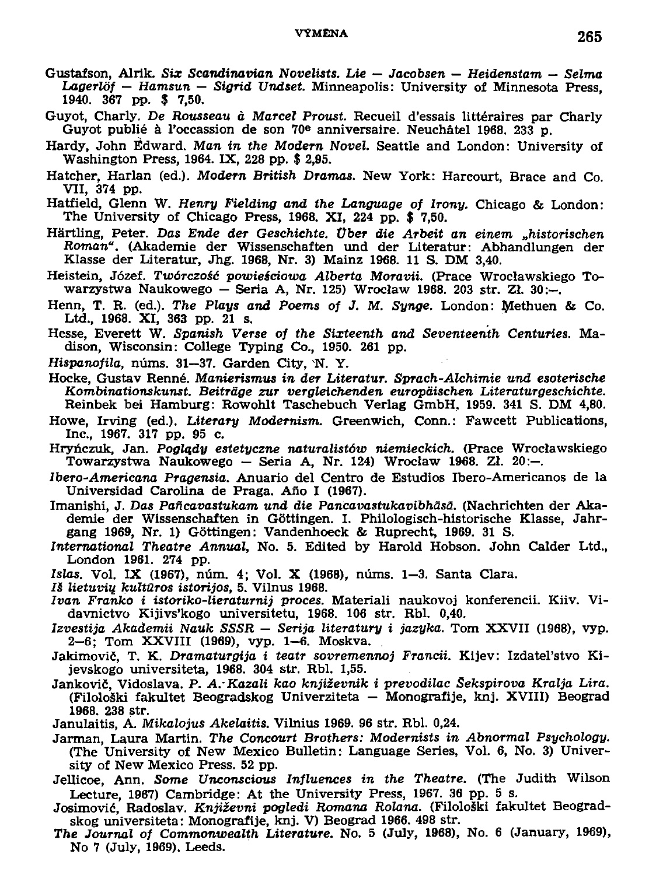## **VÝMĚNA**

- Gustafson, Alrik, Six Scandinavian Novelists, Lie Jacobsen Heidenstam Selma Lagerlöf - Hamsun - Sigrid Undset. Minneapolis: University of Minnesota Press, 1940. 367 pp. \$ 7,50.
- Guyot. Charly. De Rousseau à Marcel Proust. Recueil d'essais littéraires par Charly Guyot publié à l'occassion de son 70<sup>e</sup> anniversaire. Neuchâtel 1968, 233 p.
- Hardy, John Edward. Man in the Modern Novel. Seattle and London: University of Washington Press, 1964. IX, 228 pp. \$ 2,95.
- Hatcher. Harlan (ed.). Modern British Dramas. New York: Harcourt, Brace and Co. VII, 374 pp.
- Hatfield, Glenn W. Henry Fielding and the Language of Irony. Chicago & London: The University of Chicago Press, 1968, XI, 224 pp. \$ 7.50.
- Härtling, Peter. Das Ende der Geschichte. Über die Arbeit an einem "historischen Roman". (Akademie der Wissenschaften und der Literatur: Abhandlungen der Klasse der Literatur, Jhg. 1968, Nr. 3) Mainz 1968. 11 S. DM 3,40.
- Heistein, Józef. Twórczość powieściowa Alberta Moravii. (Prace Wrocławskiego Towarzystwa Naukowego – Seria A, Nr. 125) Wrocław 1968. 203 str. Zł. 30:--.
- Henn, T. R. (ed.). The Plays and Poems of J. M. Synge. London: Methuen & Co. Ltd., 1968. XI, 363 pp. 21 s.
- Hesse, Everett W. Spanish Verse of the Sixteenth and Seventeenth Centuries. Madison, Wisconsin: College Typing Co., 1950. 261 pp.
- Hispanofila, núms. 31-37. Garden City. N.Y.
- Hocke, Gustav Renné, Manierismus in der Literatur, Sprach-Alchimie und esoterische Kombinationskunst. Beiträge zur vergleichenden europäischen Literaturgeschichte. Reinbek bei Hamburg: Rowohlt Taschebuch Verlag GmbH, 1959. 341 S. DM 4,80.
- Howe, Irving (ed.). Literary Modernism. Greenwich, Conn.: Fawcett Publications, Inc., 1967. 317 pp. 95 c.
- Hryńczuk, Jan. Poglady estetuczne naturalistów niemieckich. (Prace Wrocławskiego Towarzystwa Naukowego - Seria A, Nr. 124) Wrocław 1968. Zł. 20:-.
- Ibero-Americana Pragensia. Anuario del Centro de Estudios Ibero-Americanos de la Universidad Carolina de Praga. Año I (1967).
- Imanishi, J. Das Pañcavastukam und die Pancavastukavibhäsä. (Nachrichten der Akademie der Wissenschaften in Göttingen. I. Philologisch-historische Klasse, Jahrgang 1969, Nr. 1) Göttingen: Vandenhoeck & Ruprecht, 1969. 31 S.
- International Theatre Annual, No. 5. Edited by Harold Hobson, John Calder Ltd., London 1961, 274 pp.
- Islas, Vol. IX (1967), núm. 4; Vol. X (1968), núms. 1-3. Santa Clara.
- Iš lietuvių kultūros istorijos, 5. Vilnus 1968.
- Ivan Franko i istoriko-lieraturnij proces. Materiali naukovoj konferencii. Kiiv. Vidavnictvo Kijivs'kogo universitetu, 1968. 106 str. Rbl. 0,40.
- Izvestija Akademii Nauk SSSR Serija literatury i jazyka. Tom XXVII (1968), vyp. 2-6; Tom XXVIII (1969), vyp. 1-6. Moskva.
- Jakimovič, T. K. Dramaturgija i teatr sovremennoj Francii. Kijev: Izdatel'stvo Kijevskogo universiteta, 1968, 304 str. Rbl. 1,55.
- Jankovič, Vidoslava, P. A. Kazali kao književnik i prevodilac Šekspirova Kralja Lira. (Filološki fakultet Beogradskog Univerziteta – Monografije, knj. XVIII) Beograd 1968. 238 str.
- Janulaitis, A. Mikalojus Akelaitis. Vilnius 1969. 96 str. Rbl. 0,24.
- Jarman, Laura Martin. The Concourt Brothers: Modernists in Abnormal Psychology. (The University of New Mexico Bulletin: Language Series, Vol. 6, No. 3) University of New Mexico Press. 52 pp.
- Jellicoe, Ann. Some Unconscious Influences in the Theatre. (The Judith Wilson Lecture, 1967) Cambridge: At the University Press, 1967. 36 pp. 5 s.
- Josimović, Radoslav. Književni pogledi Romana Rolana. (Filološki fakultet Beogradskog universiteta: Monografije, knj. V) Beograd 1966. 498 str.
- The Journal of Commonwealth Literature. No. 5 (July, 1968), No. 6 (January, 1969), No 7 (July, 1969). Leeds.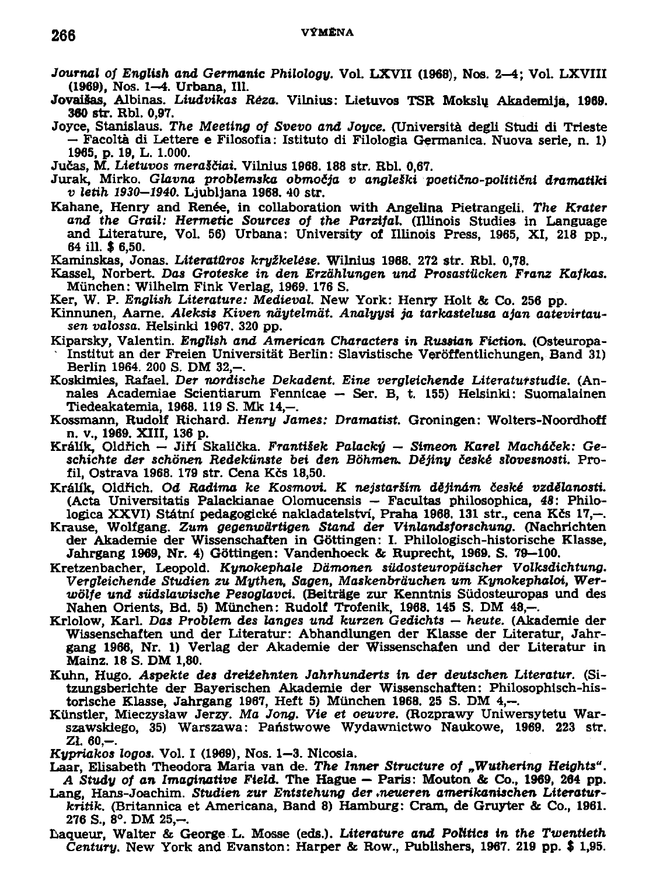- *Journal of English and Germanic Philology.* **Vol. LXVII (1968), Nos. 2-4; Vol. LXVIII (1969), Nos. 1-4. Urbana, 111.**
- **JovaiSas, Albinas.** *Liudvikas Réza.* **Vilnius: Lietuvos TSR Mokslu Akademljá, 1969. 380 str. Rbl. 0,97.**
- **Joyce, Stanislaus.** *The Meeting of Svevo and Joyce.* **(Universita degli Studí di Trieste — Facolta di Lettere e Filosofia: Istituto di Filologia Germanica. Nuova série, n. 1) 1965, p. 19, L. 1.000.**

**Jučas, M.** *Lietuvos meraSčiai.* **Vilnius 1968. 188 str. Rbl. 0,67.** 

- **Jurak, Mirko.** *Glavna problemska območja v angleški poetično-politični dramatiki v letih 1930-1940.* **Ljubljana 1968. 40 str.**
- **Kahane, Henry and Renée, in collaboration with Angelina Pietrangeli.** *The Kráter and the Grail: Hermetie Sources of the Parzifal.* **(Illinois Studies in Language and Literatuře, Vol. 56) Urbana: University of Illinois Press, 1965, XI, 218 pp., 64 ill. \$ 6,50.**

**Kaminskas, Jonas.** *LiteratQros kryžkelěse.* **Wilnius 1968. 272 str. Rbl. 0,78.** 

- Kassel, Norbert. Das Groteske in den Erzählungen und Prosastücken Franz Kafkas. **Munchen: Wilhelm Fink Verlag, 1969. 176 S.**
- **Ker, W. P.** *English Literatuře: Medieval.* **New York: Henry Holt & Co. 256 pp.**
- **Kinnunen, Aame.** *Aleksis Kiven ndytelmat. Analyysi ja tarkastelusa ajan aatevirtausen valossa.* **Helsinkl 1967. 320 pp.**
- **Kiparsky, Valentin.** *English and American Characters in Russian Fiction.* **(Osteuropa-Institut an der Freien Universitát Berlin: Slavistische Veroffentlichungen, Band 31) Berlin 1964. 200 S. DM 32,-.**
- **Koskimies, Rafael.** *Der nordische Dekadent. Eine vergleichende Literatutstudie.* **(Annales Academiae Scientiarum Fennicae — Ser. B, t. 155) Helsinki: Suomalainen Tiedeakatemia, 1968. 119 S. Mk 14,-.**
- **Kossmann, Rudolf Richard.** *Henry James: Dramatist.* **Groningen: Wolters-Noordhoff n. v., 1969. XIII, 136 p.**
- **Králík, Oldřich Jiří Skalická.** *František Palacký Simeon Karel Macháček: Geschichte der schbnen Redekiinste bei den Bóhmen. Dějiny české slovesnosti.* **Profil, Ostrava 1968. 179 str. Cena Kčs 18,50.**
- **Králík, Oldřich. Od** *Radima ke Kosmovi. K nejstaríím déjinám české vzdělanosti.*  **(Acta Universitatis Palackianae Olomucensis — Facultas philosophica,** *48:* **Philologica XXVI) Státní pedagogické nakladatelství, Praha 1968. 131 str., cena Kčs 17,—.**
- **Krause, Wolfgang.** *Zum gegenwdrtigen Stand der Vinlandsforschung.* **(Nachrichten der Akademie der Wissenschaften in Gottingen: I. Philologisch-historische Klasse, Jahrgang 1969, Nr. 4) Gottingen: Vandenhoeck & Ruprecht, 1969. S. 79—100.**
- **Kretzenbacher, Leopold.** *Kynokephale Dámonen sildosteuropaischer Volksdichtung. Vergleichende Studien zu Mythen, Sagen, Maskenbráuchen um Kynokephaloi, Werwólfe und súdslawische Pesoglavci.* **(Beitrage zu Kenntnis Sudosteuropas und des Nahen Orients, Bd. 5) Munchen: Rudolf Trofenik, 1968. 145 S. DM 48,-.**
- **Krlolow, Karl.** *Das Problém des langes und kurzen Gedichts heute.* **(Akademie der Wissenschaften und der Literatur: Abhandlungen der Klasse der Literatur, Jahrgang 1966, Nr. 1) Verlag der Akademie der Wissenschafen und der Literatur in Mainz. 18 S. DM 1,80.**
- **Kuhn, Hugo.** *Aspekte des dreižehnten Jáhrhunderts in der deutschen Literatur.* **(Sitzungsberichte der Bayerischen Akademie der Wissenschaften: Philosophisch-historische Klasse, Jahrgang 1967, Heft 5) Munchen 1968. 25 S. DM 4,—.**
- **Kunstler, Mieczyslaw Jerzy.** *Ma Jong. Vie et oeuvre.* **(Rozprawy Uniwersytetu Warszawskiego, 35) Warszawa: Paňstwowe Wydawnictwo Naukowe, 1969. 223 str. ZL 60,-.**

*Kypriakos logos.* **Vol. I (1969), Nos. 1—3. Nicosia.** 

- **Laar, Elisabeth Theodora Maria van de.** *The lnner Structure of "Wuthering Heights". A Study of an Imaginative Field.* **The Hague — Paris: Mouton & Co., 1969, 264 pp.**
- **Lang, Hans-Joachim. Studien** *ZUT Entstehung der .neueren amerikanischen Literaturkritik.* **(Britannica et Američana, Band 8) Hamburg: Cram, de Gruyter & Co., 1961. 276 S., 8°. DM 25,-.**
- Laqueur, Walter & George L. Mosse (eds.). *Literature and Politics in the Twentieth Century.* **New York and Evanston: Harper & Row., Publishers, 1967. 219 pp. \$ 1,95.**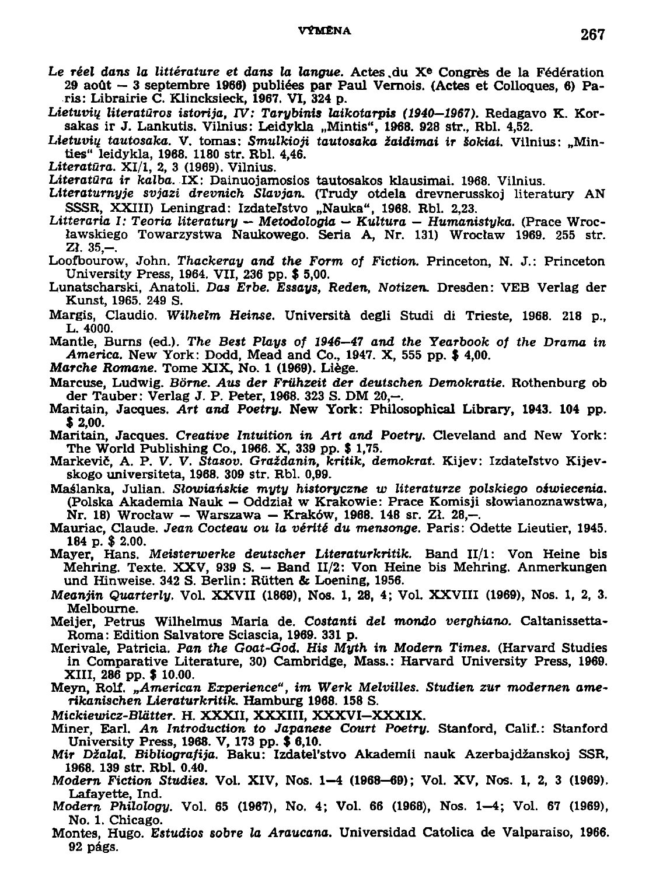- *Le réel dans la littérature et dans* **la** *langue.* **Actes.du X <sup>e</sup> Congrěs de la Fédération 29 aoůt — 3 septembre 1966) publiées par Paul Vernois. (Actes et Colloques, 6) Paris: Librairie C. Klincksieck, 1967. VI, 324 p.**
- *Lietuvin literatúros istorija, TV: Tarybinis laikotarpis (1940—1967).* **Redagavo K. Kor**sakas ir J. Lankutis. Vilnius: Leidykla "Mintis", 1968. 928 str., Rbl. 4,52.
- *Lietuviq tautosaka.* **V. tomas:** *Smulkioji tautosaka žaidimai ir Sokiai.* **Vilnius: "Minties" leidykla, 1968. 1180 str. Rbl. 4,46.**
- *Literatura.* **XI/1, 2, 3 (1969). Vilnius.**
- *Literatura ir kalba.* **IX: Dainuojamosios tautosakos klausimai. 1968. Vilnius.**
- *Literaturnyje svjazi dřevních Slavjan.* **(Trudy otdela drevnerusskoj literatury A N**  SSSR, XXIII) Leningrad: Izdateľstvo "Nauka", 1968. Rbl. 2,23.
- Litteraria I: Teoria literaturu Metodologia Kultura Humanistyka. (Prace Wroc**lawskiego Towarzystwa Naukowego. Seria A, Nr. 131) Wroctaw 1969. 255 str. Zí. 35,-.**
- **Loofbourow, John.** *Thackeray and the Form of Fiction.* **Princeton, N. J.: Princeton University Press, 1964. VII, 236 pp. \$ 5,00.**
- **Lunatscharski, Anatoli.** *Dos Erbe. Essays, Reden, Notizen.* **Dresden: VEB Verlag der Kunst, 1965. 249 S.**
- **Margis, Claudio.** *Wilhelm Heinse.* **Universita degli Studi di Trieste, 1968. 218 p., L. 4000.**
- **Mantle, Burns (ed.).** *The Best Plays of 1946—47 and the Yearbook of the Drama in America.* **New York: Dodd, Mead and Co., 1947. X, 555 pp. \$ 4,00.**
- *Marche Romane.* **Tome XIX, No. 1 (1969). Liěge.**
- **Marcuse, Ludwig.** *Bórne. Aus der Friihzeit der deutschen Demokratie.* **Rothenburg ob der Tauber: Verlag J. P. Peter, 1968. 323 S. DM 20,-.**
- **Maritain, Jacques.** *Art and Poetry.* **New York: Philosophical Library, 1943. 104 pp. \$ 2,00.**
- **Maritain, Jacques.** *Creative Intuition in Art and Poetry.* **Cleveland and New York: The World Publishing Co., 1966. X, 339 pp. \$ 1,75.**
- **Markevič, A. P. V. V.** *Stasov. Graždanin, kritik, demokrat.* **Kijev: Izdatelstvo Kijevskogo universiteta, 1968. 309 str. Rbl. 0,99.**
- **Maálanka, Julian.** *Slowianskie myty historyczne w literaturze polskiego oiwiecenia.*  **(Polska Akademia Nauk — Oddzial w Krakowie: Prače Komisji slowianoznawstwa, Nr. 18) Wroclaw - Warszawa - Kraków, 1988. 148 sr. Zl. 28,-.**
- **Mauriac, Claude.** *Jean Cocteau ou la vérité du mensonge.* **Paris: Odette Lieutier, 1945. 184 p. \$ 2.00.**
- **Mayer, Hans.** *Meisterwerke deutscher Literaturkritik.* **Band II/l: Von Heine bis Mehring. Texte. XXV , 939 S. — Band II/2: Von Heine bis Mehring. Anmerkungen und Hinweise. 342 S. Berlin: Ríitten & Loening, 1956.**
- *Meanjin Quarterly.* **Vol. XXVII (1869), Nos. 1, 28, 4; Vol. XXVIII (1969), Nos. 1, 2, 3. Melbourne.**
- **Meijer, Petrus Wilhelmus Maria de. Cosťanťi** *del mondo verghiano.* **Caltanissetta-**Roma: Edition Salvatore Sclascia, 1969. 331 p.
- **Merivale, Patricia. Pan** *the Goat-God. His Myth in Modem Times.* **(Harvard Studies**  in Comparative Literature, 30) Cambridge, Mass.: Harvard University Press, 1969. **XIII, 286 pp. \$ 10.00.**
- **Meyn, Rolf.** *"American Experience", im Werk Melvilles. Studien ZUT modernen amerikanischen Lieraturkritik.* **Hamburg 1968. 158 S.**

*Mickieuňcz-Blatter.* **H. XXXII, XXXIII, XXXVI-XXXIX .** 

- **Miner, Earl.** *An Introduction to Japanese Court Poetry.* **Stanford, Calif.: Stanford University Press, 1968. V, 173 pp. \$ 6,10.**
- **Mír** *Džalal. Bibliografija.* **Baku: Izdateťstvo Akademii nauk Azerbajdžanskoj SSR, 1968. 139 str. Rbl. 0.40.**
- *Modem Fiction Studies.* **Vol. XIV, Nos. 1-4 (1968-69); Vol. XV, Nos. 1, 2, 3 (1969). Lafayette, Ind.**
- **Modern** *Philology.* **Vol. 65 (1967), No. 4; Vol. 66 (1968), Nos. 1-4; Vol. 67 (1969), No. 1. Chicago.**
- **Montes, Hugo.** *Estudios sobre la Araucana.* **Universidad Catolica de Valparaiso, 1966. 92 págs.**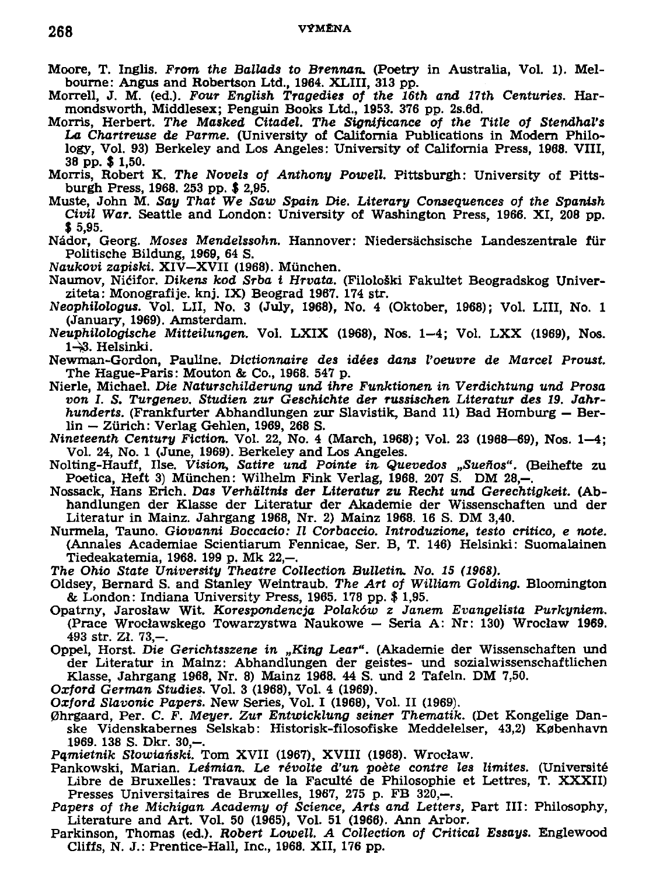- **Moore, T. Inglis.** *From the Ballads to Brentům.* **(Poetry in Australia, Vol. 1). Melbourne: Angus and Robertson Ltd., 1964. XLIII, 313 pp.**
- **Morrell, J. M. (ed.).** *Four English Tragedies of the 16th and 17th Centuries.* **Harmondsworth, Middlesex; Penguin Books Ltd., 1953. 376 pp. 2s.6d.**
- **Morris, Herbert.** *The Masked Citadel. The Significance of the Title of StendhaVs La Chartreuse de Parmě.* **(University of California Publications in Modern Philology, Vol. 93) Berkeley and Los Angeles: University of California Press, 1968. VIII, 38 pp. \$ 1,50.**
- **Morris, Robert K.** *The Novels of Anthony Powell.* **Pittsburgh: University of Pittsburgh Press, 1968. 253 pp. \$ 2,95.**
- **Muste, John M.** *Say That We Saw Spain Die. Literary Consequences of the Spanish Civil War.* **Seattle and London: University of Washington Press, 1966. XI, 208 pp. \$ 5,95.**
- **Nádor, Georg.** *Moses Mendelssohn.* **Hannover: Niedersachsische Landeszentrale fiir Politische Bildung, 1969, 64 S.**
- *Naukoví zapiski.* **XIV-XVII (1968). Munchen.**
- **Naumov, Ničifor.** *Dikens kod Srba i Hrvata.* **(Filološki Fakultet Beogradskog Univerziteta: Monografije. knj. IX) Beograd 1967. 174 str.**
- *Neophilologus.* **Vol. Lil , No. 3 (July, 1968), No. 4 (Oktober, 1968); Vol. LIII, No. 1 (January, 1969). Amsterdam.**
- *Neuphilologische Mitteilungen.* **Vol. LXI X (1968), Nos. 1-4; Vol. LX X (1969), Nos. 1-^3. Helsinki.**
- **Newman-Gordon, Paulině.** *Dictionnaire des idées dans Voeuvre de Marcel Proust.*  **The Hague-Paris: Mouton & Co., 1968. 547 p.**
- **Nierle, Michael.** *Die Naturschilderung und ihre Funktionen in Verdichtung und Prosa von 1. S. Turgenev. Studien ZUT Geschichte der russischen Literatur des 19. Jahr*hunderts. (Frankfurter Abhandlungen zur Slavistik, Band 11) Bad Homburg – Ber**lin — Zurich: Verlag Gehlen, 1969, 268 S.**
- *Nineteenth Century Fiction.* **Vol. 22, No. 4 (March, 1968); Vol. 23 (1968-69), Nos. 1-4; Vol. 24, No. 1 (June, 1969). Berkeley and Los Angeles.**
- **Nolting-Hauff, Use.** *Vision, Satiře und Pointe in- Quevedos "Sueňos".* **(Beihefte zu**  Poetica, Heft 3) München: Wilhelm Fink Verlag, 1968. 207 S. DM 28,-.
- **Nossack, Hans Erich.** *Das Verháltnis der Literatur zu Recht und Gerechtigkeit.* **(Abhandlungen der Klasse der Literatur der Akademie der Wissenschaften und der Literatur in Mainz. Jahrgang 1968, Nr. 2) Mainz 1968. 16 S. DM 3,40.**
- **Nurmela, Tauno.** *Giovanni Boccacio: II Corbaccio. Introduzione, těsto critico, e note.*  **(Annales Academiae Scientiarum Fennicae, Ser. B, T. 146) Helsinki: Suomalainen Tiedeakatemia, 1968. 199 p. Mk 22,-.**
- *The Ohio State University Theatre Collection Bulletin. No. 15 (1968).*
- **Oldsey, Bernard S. and Stanley Weintraub.** *The Art of William Golding.* **Bloomington & London: Indiána University Press, 1965. 178 pp. \$ 1,95.**
- **Opatrný, Jaroslaw Wit.** *Korespondencja Polákovo z Janem Evangelista Purkyniem.*  **(Prače Wroclawskego Towarzystwa Naukowe — Seria A: Nr: 130) Wroclaw 1969. 493 str. Zl. 73,-.**
- **Oppel, Horst.** *Die Gerichtsszene in "King Lear".* **(Akademie der Wissenschaften und der Literatur in Mainz: Abhandlungen der geistes- und sozialwissenschaftlichen Klasse, Jahrgang 1968, Nr. 8) Mainz 1968. 44 S. und 2 Tafeln. DM 7,50.**
- **Oxford** *German Studies.* **Vol. 3 (1968), Vol. 4 (1969).**
- *Oxford Slavonie Papers.* **New Series, Vol. I (1968), Vol. II (1969).**
- **0hrgaard, Per. C. F.** *Meyer. Zur Entwicklung seiner Thematik.* **(Det Kongelige Dánské Videnskabernes Selskab: Historisk-filosofiske Meddelelser, 43,2) Kpbenhavn**  1969. 138 S. Dkr. 30,-.
- *Pamieinik Slowianski.* **Tom XVII (1967), XVIII (1968). Wroclaw.**
- **Pankowski, Marian.** *Leémian. Le revoltě ďun poete contre les limites.* **(Universitě Libře de Bruxelles: Travaux de la Faculté de Philosophie et Lettres, T. XXXII) Presses Universitaires de Bruxelles, 1967, 275 p. FB 320,—.**
- *Papers of the Michigan Academy of Science, Arts and Letters,* **Part III: Philosophy,**  Literature and Art. Vol. 50 (1965), Vol. 51 (1966). Ann Arbor.
- **Parkinson, Thomas (ed.).** *Robert Lowell. A Collection of Critical Essays.* **Englewood Cliffs, N. J.: Prentice-Hall, Inc., 1968. XII, 176 pp.**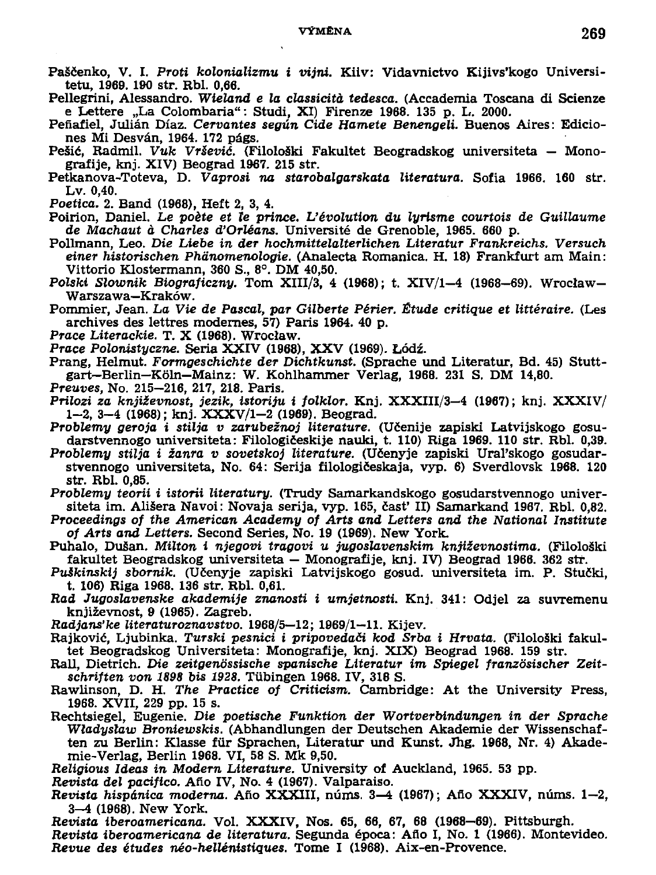- Paščenko, V. I. Proti kolonializmu i vijni. Kilv: Vidavnictvo Kijivs'kogo Universi**tetu, 1969. 190 str. Rbl. 0,66.**
- Pellegrini, Alessandro. *Wieland e la classicità tedesca.* (Accademia Toscana di Scienze **e Lettere "La Colombaria": Studi, XI) Firenze 1968. 135 p. L. 2000.**
- **Pefiafiel, Julián Díaz.** *Cervantes según Cide Hamete Benengeli.* **Buenos Aires: Ediciones Mi Desván, 1964. 172 págs.**
- **Pešič, Radmil.** *Vuk Vrševič.* **(Filoloáki Fakultet Beogradskog universiteta Monografije, knj. XIV) Beograd 1967. 215 str.**
- **Petkanova-Toteva, D.** *Vaprosi na starobalgarskata literatura.* **Sofia 1966. 160 str. Lv. 0,40.**
- *Poetica.* **2. Band (1968), Heft 2, 3, 4.**
- **Poirion, Daniel.** *Le poete et le prince. Vévolution du lyrisme courtois de Guillaume*  de Machaut à Charles d'Orléans. Université de Grenoble, 1965. 660 p.
- **Pollmann, Leo.** *Die Liebe in der hochmittelalterlichen Literatur Frankreichs. Versuch einer historischen Phánomenologie.* **(Analecta Romanica. H. 18) Frankfurt am Main: Vittorio Klostermann, 360 S., 8°. DM 40,50.**
- *Polski Slownik Biograficzny.* **Tom XIII/3, 4 (1968); t. XIV/1-4 (1968-69). Wroclaw-Warszawa—Kraków.**
- **Pommier, Jean.** *La Vie de Pascal, par Gilberte Périer. Étude critique et littéraire.* **(Les archives des lettres modernes, 57) Paris 1964. 40 p.**
- *Prače Literackie.* **T. X (1968). Wroclaw.**
- **Prcce** *Polonistyczne.* **Seria XXIV (1968), XX V (1969). Lodž.**
- **Prang, Helmut.** *Formgeschichte der Dichtkunst.* **(Sprache und Literatur, Bd. 45) Stuttgart-Berlin-K61n-Mainz: W. Kohlhammer Verlag, 1968. 231 S. DM 14,80.**
- *Preuves,* **No. 215-216, 217, 218. Paris.**
- *Prilozi za knjizevnost, jezik, istoriju i folklor.* **Knj. XXXIII/3-4 (1967); knj. XXXIV/**  1-2, 3-4 (1968); knj. XXXV/1-2 (1969). Beograd.
- *Problémy geroja i stilja v zarubežnoj literatuře.* **(Učenije zapiskl Latvijskogo gosudarstvennogo universiteta: Filologičeskije nauki, t. 110) Riga 1969. 110 str. Rbl. 0,39.**
- *Problémy stilja i žanra v sovetskoj literatuře.* **(Učenyje zapiski Ural'skogo gosudarstvennogo universiteta, No. 64: Serija filologičeskaja, vyp. 6) Sverdlovsk 1968. 120 str. Rbl. 0,85.**
- *Problémy teorii i istorii literatury.* **(Trudy Samarkandskogo gosudarstvennogo univer**siteta im. Ališera Navoi: Novaja serija, vyp. 165, časť II) Samarkand 1967, Rbl. 0,82.
- *Proceedings of the American Academy of Arts and Letters and the National Institute of Arts and Letters.* **Second Series, No. 19 (1969). New York.**
- **Puhalo, Dušan.** *Milton i njegovi tragovi u jugoslavenskim književnostima.* **(Filološki fakultet Beogradskog universiteta — Monografije, knj. IV) Beograd 1966. 362 str.**
- *PuSkinskij sborník.* **(Učenyje zapiski Latvijskogo gosud. universiteta im. P. Stučki, t. 106) Riga 1968. 136 str. Rbl. 0,61.**
- **Rad** *Jugoslavenske akademije znanosti i umjetnosti.* **Knj. 341: Odjel za suvremenu knjizevnost, 9 (1965). Zagreb.**
- **Radjans'fce** *literaturoznavstvo.* **1968/5—12; 1969/1—11. Kijev.**
- **Rajkovič, Ljubinka.** *Turski pesnici i pripovedači kod Srba i Hrvata.* **(Filološki fakultet Beogradskog Universiteta: Monografije, knj. XIX) Beograd 1968. 159 str.**
- **Rall, Dietrich.** *Die zeitgenossische spanische Literatur im Spiegel franzósischer Zeitschriften von 1898 bis 1928.* **Tubingen 1968. IV, 318 S.**
- **Rawlinson, D. H.** *The Practice of Criticism.* **Cambridge: At the University Press, 1968. XVII, 229 pp. 15 s.**
- **Rechtsiegel, Eugenie.** *Die poetische Funktion der Wortverbindungen in der Sprache Wladyslaw Broníewskis.* **(Abhandlungen der Deutschen Akademie der Wissenschaften zu Berlin: Klasse fúr Sprachen, Literatur und Kunst. Jhg. 1968, Nr. 4) Akademie-Verlag, Berlin 1968. VI, 58 S. Mk 9,50.**
- *Religious Ideas in Modem Literatuře.* **University of Auckland, 1965. 53 pp.**
- *Revista del pacifico.* **Ano IV, No. 4 (1967). Valparaiso.**
- *Revista hispánica moderna.* **Ano XXXIII, núms. 3—4 (1967); Ano XXXIV, núms. 1—2, 3-4 (1968). New York.**
- *Revista iberoamericana.* **Vol. XXXIV, Nos. 65, 66, 67, 68 (1968-69). Pittsburgh.**
- *Revista iberoamericana de literatura.* **Segunda época: Ano I, No. 1 (1966). Montevideo.**  *Revue des études néo-hellénistiques.* **Tome I (1968). Aix-en-Provence.**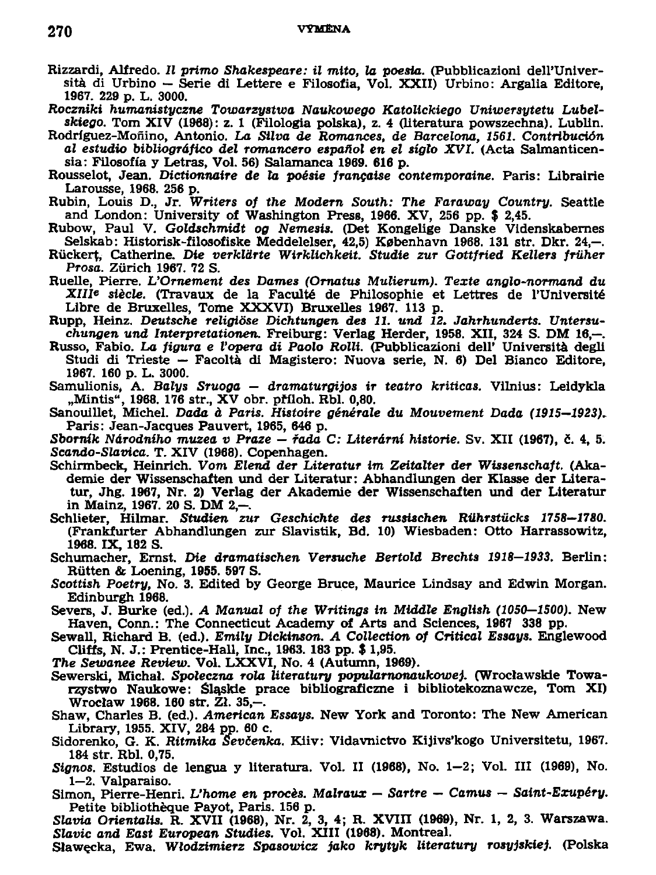## **270 VYMENA**

- **Rizzardi, Alfredo.** *II* **přímo** *Shakespeare: il mito, la poesia.* **(Pubblicazionl delFUniversita di Urbino — Série di Lettere e Filosofia, Vol. XXII) Urbino: Argalia Editore, 1967. 229 p. L. 3000.**
- *Roczniki humanistyczne Towarzystwa Naukowego Katolickiego Uniwersytetu Lubelskiego.* **Tom XIV (1968): z. 1 (Filologia polska), z. 4 (literatura powszechna). Lublin.**
- **Rodríguez-Moňino, Antonio.** *La Silva de Romances, de Barcelona, 1561. Contribución al estudio bibliográfico del romancero espafiol en el sígto XVI.* **(Acta Salmanticensia: Filosofia y Letras, Vol. 56) Salamanca 1969. 616 p.**
- **Rousselot, Jean.** *Dictionnaire de la poesie francaise contemporaine.* **Paris: Librairie Larousse, 1968. 256 p.**
- **Rubin, Louis D., Jr.** *Writers of the Modem South: The Faraway Country.* **Seattle and London: University of Washington Press, 1966. XV, 256 pp. \$ 2,45.**
- **Rubow, Paul V.** *Goldschmidt og Nemesis.* **(Det Kongelige Danske Videnskabernes**  Selskab: Historisk-filosofiske Meddelelser, 42,5) København 1968. 131 str. Dkr. 24,-
- **Růckert, Catherine.** *Die verkldrte Wirklichkeit. Studie ZUT Gottfried Kellera friiher Prosa.* **Zurich 1967. 72 S.**
- **Ruelle, Pierre.** *UOrnement des Dames (Ornatus Mulierum). Texte anglo-normand du Xllle siěcle.* **(Travaux de la Faculté de Philosophie et Lettres de 1'Unlversité**  Libre de Bruxelles, Tome XXXVI) Bruxelles 1967. 113 p.
- **Rupp, Heinz. Deutsche** *religióse Dichtungen des 11. und 12. Jahrhunderts. Untersuchungen und Interpretationen.* **Freiburg: Verlag Herder, 1958. XII, 324 S. DM 16,—.**
- **Russo, Fabio.** *La figura e Vopera di Paolo Rolli.* **(Pubblicazioni dell' Universita degli Studi di Trieste — Facoltá di Magistere: Nuova série, N. 6) Del Bianco Editore, 1967. 160 p. L. 3000.**
- **Samulionis, A.** *Balys Sruoga dramaturgijos ir teatro kriticas.* **Vilnius: Leidykla "Mintis", 1968. 176 str., X V obr. příloh. Rbl. 0,80.**
- **Sanouillet, Michel.** *Dada á Paris. Histoire generále du Mouvement Dada (1915—1923)-* **Paris: Jean-Jacques Pauvert, 1965, 646 p.**
- *Sborník Národního muzea v Praze řada C: Literární historie.* **Sv. XII (1967), č. 4, 5.**  *Scando-Slavica.* **T. XIV (1968). Copenhagen.**
- **Schirmbeck, Heinrich.** *Vom Elend der Literatur im Zeitalter der Wissenschaft.* **(Akademie der Wissenschaften und der Literatur: Abhandlungen der Klasse der Literatur, Jhg. 1967, Nr. 2) Verlag der Akademie der Wissenschaften und der Literatur in Malnz, 1967. 20 S. DM 2,-.**
- **Schlieter, Hilmar.** *Studien zur Geschichte des russiachen Rilhrstůcks 1758—1780.*  **(Frankfurter Abhandlungen zur Slavistik, Bd. 10) Wiesbaden: Otto Harrassowitz, 1968. IX, 182 S.**
- **Schumacher, Ernst. Die** *dramatischen Versuche Bertold Brechta 1918—1933.* **Berlin: Rutten & Loening, 1955. 597 S.**
- *Scottish Poetry,* **No. 3. Edited by George Bruče, Maurice Lindsay and Edwin Morgan. Edinburgh 1968.**
- **Severs, J. Burke (ed.).** *A Manuál of the Writings in Middle English (1050—1500).* **New Haven, Conn.: The Connecticut Academy of Arts and Sciences, 1967 338 pp.**
- Sewall, Richard B. (ed.). *Emily Dickinson. A Collection of Critical Essays.* Englewood **CUffs, N. J.: Prentice-Hall, Inc., 1963. 183 pp. \$ 1,95.**
- **The** *Sewanee Review.* **Vol. LXXVI, No. 4 (Autumn, 1969).**
- **Sewerski, Michal.** *Spoleczna rola literatury popularnonaukowej.* **(Wroclawskie Towarzystwo Naukowe: Šlaskie prače bibliograficzne i bibliotekoznawcze, Tom XI) Wroclaw 1968. 160 str. Zl. 35,-.**
- **Shaw, Charles B. (ed.).** *American Essays.* **New York and Toronto: The New American Library, 1955. XIV, 284 pp. 60 c.**
- **Sidorenko, G. K. Ritmifca** *Sevčenka.* **Kiiv: Vidavnictvo Kijivs'kogo Universitetu, 1967. 184 str. Rbl. 0,75.**
- *Signos.* **Estudios de lengua y literatura. Vol. II (1968), No. 1-2; Vol. III (1969), No. 1—2. Valparaiso.**
- **Simon, Pierre-Henri.** *L'home en proces. Malraux Sartre Camus Saint-Exupéry.*  **Petite bibliothěque Payot, Paris. 156 p.**
- Slavia Orientalis. R. XVII (1968), Nr. 2, 3, 4; R. XVIII (1969), Nr. 1, 2, 3. Warszawa. **Stavíc** *and East European Studies.* **Vol. XIII (1968). Montreal.**
- **Slawecka, Ewa.** *Wlodzimierz Spasowicz jako krytyk literatury rosyjskie).* **(Polska**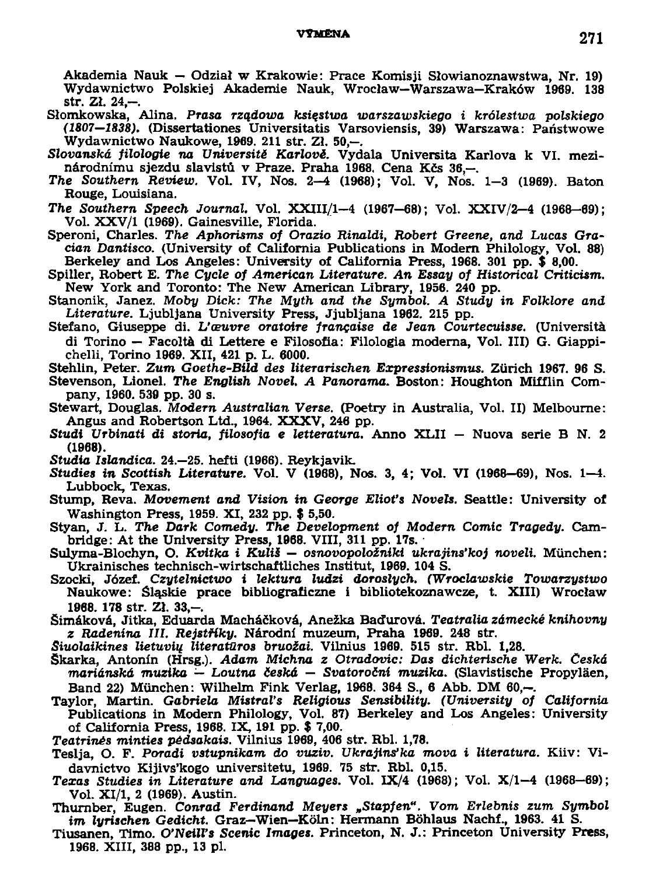## VYMÉNA **271**

**Akademia Nauk — Odzial w Krakowie: Prače Komis ji Slowianoznawstwa, Nr. 19) Wydawnictwo Polskiej Akademie Nauk, Wroclaw—Warszawa—Kraków 1989. 138 str. Zl. 24,-.** 

- **Slomkowska, Alina.** *Prasa rzadowa ksiestwa warszawskiego i królestwa polskiego (1807—1838).* **(Dissertationes Universitatis Varsoviensis, 39) Warszawa: Paňstwowe Wydawnictwo Naukowe, 1969. 211 str. Zl. 50,—.**
- *Slovanská filologie na Universitě Karlově.* **Vydala Universita Karlova k VI. mezinárodnímu sjezdu slavist v Praze. Praha 1968, Cena Kčs 36,—.**
- *The Southern Review.* **Vol. IV, Nos. 2-4 (1968); Vol. V, Nos. 1-3 (1969). Baton Rouge, Louisiana.**
- *The Southern Speech Journal.* **Vol. XXIII/1-4 (1967-68); Vol. XXIV/2-4 (1968-69); Vol. XXV/1 (1969). Gainesville, Florida.**

**Speroni, Charles.** *The Aphorisms of Orazio Rinaldi, Robert Greene, and Lucas Gracian Dantisco.* **(University of California Publications in Modem Philology, Vol. 88) Berkeley and Los Angeles: University of California Press, 1968. 301 pp. \$ 8,00.** 

**Spiller, Robert E.** *The Cycle of American Literatuře. An Essay of Historical Criticism.*  **New York and Toronto: The New American Library, 1956. 240 pp.** 

**Stanonik, Janez.** *Moby Dick: The Myth and the Symbol. A Study in Folklore and Literatuře.* **Ljubljana University Press, Jjubljana 1962. 215 pp.** 

Stefano, Giuseppe di. *L'œuvre oratoire française de Jean Courtecuisse*. (Università **di Torino — Facoltá di Lettere e Filosofia: Filologia moderna, Vol. III) G. Giappichelli, Torino 1969. XII, 421 p. L. 6000.** 

**Stehlin, Peter.** *Zum Goethe-Bild des literarischen Expressionismus.* **Zurich 1967. 96 S.** 

**Stevenson, Lionel.** *The English Novel. A Panorama.* **Boston: Houghton Mifflin Company, 1960. 539 pp. 30 s.** 

- **Stewart, Douglas.** *Modem Australian Verse.* **(Poetry in Australia, Vol. II) Melbourne: Angus and Robertson Ltd., 1964. XXXV , 246 pp.**
- **Studí** *Urbinati di storia, filosofia e letteratura.* **Anno XLII Nuova série B N. 2 (1968).**
- *Studia Islandica.* **24.-25. hefti (1966). Reykjavik.**
- *Studies in Scottish Literatuře.* **Vol. V (1968), Nos. 3, 4; Vol. VI (1968-69), Nos. 1-4. Lubbock, Texas.**
- **Stump, Reva.** *Movement and Vision in George Elioťs Novels.* **Seattle: University of Washington Press, 1959. XI, 232 pp. \$ 5,50.**
- **Styan, J. L.** *The Dark Comedy. The Development of Modem Comic Tragédy.* **Cambridge: At the University Press, 1968. VIII, 311 pp. 17s.**

**Sulyma-Blochyn, O.** *Kvítka i KuliS — osnovopoložniki ukrajins'koj noveli.* **Múnchen: Ukrainisches technisch-wirtschaftliches Institut, 1969. 104 S.** 

- **Szocki, Józef.** *Czytelnictwo i lektura ludzi doroslych. (Wroclawskie Towarzystwo*  **Naukowe: Slaskie prače bibliograficzne i bibliotekoznawcze, t. XIII) Wroclaw 1968. 178 str. ZJ. 33,-.**
- **Simáková, Jitka, Eduarda Macháčková, Anežka Baďurová.** *Teatralia zámecké knihovny z Radenina III. Rejstříky.* **Národní muzeum, Praha 1969. 248 str.**
- *Siuolaikines Uetuviq literatůros bruožai.* **Vilnius 1969. 515 str. Rbl. 1,28.**
- **Škarka, Antonín (Hrsg.).** *Adam Michna z Otradovic: Das dichterische Werk. Česká mariánská muzika — Loutna česká — Svatoroční muzika.* **(Slavistische Propyláen, Band 22) Munchen: Wilhelm Fink Verlag, 1968. 364 S., 6 Abb. DM 60,-.**
- **Taylor, Martin.** *Gabriela Mistrals Religious Sensibility. (University of California*  **Publications in Modem Philology, Vol. 87) Berkeley and Los Angeles: University of California Press, 1968. IX, 191 pp. \$ 7,00.**

*Teatriněs minties pédsákais.* **Vilnius 1969, 406 str. Rbl. 1,78.** 

**Teslja, O. F.** *Poradi vstupnikam do vuziv. Ukrajinská mova i literatura.* **Kiiv: Vidavnictvo Kijivs'kogo universitetu, 1969. 75 str. Rbl. 0,15.** 

**Texas Studies in Literature and Languages. Vol. IX/4 (1968); Vol. X/1-4 (1968-69); Vol. XI/1, 2 (1969). Austin.** 

- **Thurnber, Eugen.** *Conrad Ferdinand Meyers <sup>n</sup>Stapfen". Vom Erlebnis zum Symbol im lyrischen Gedicht.* **Graz—Wien—Koln: Hermann Bóhlaus Nachf., 1963. 41 S.**
- **Tiusanen, Timo. 0'NeiJI's** *Scenic Images.* **Princeton, N. J.: Princeton University Press, 1968. XIII, 388 pp., 13 pl.**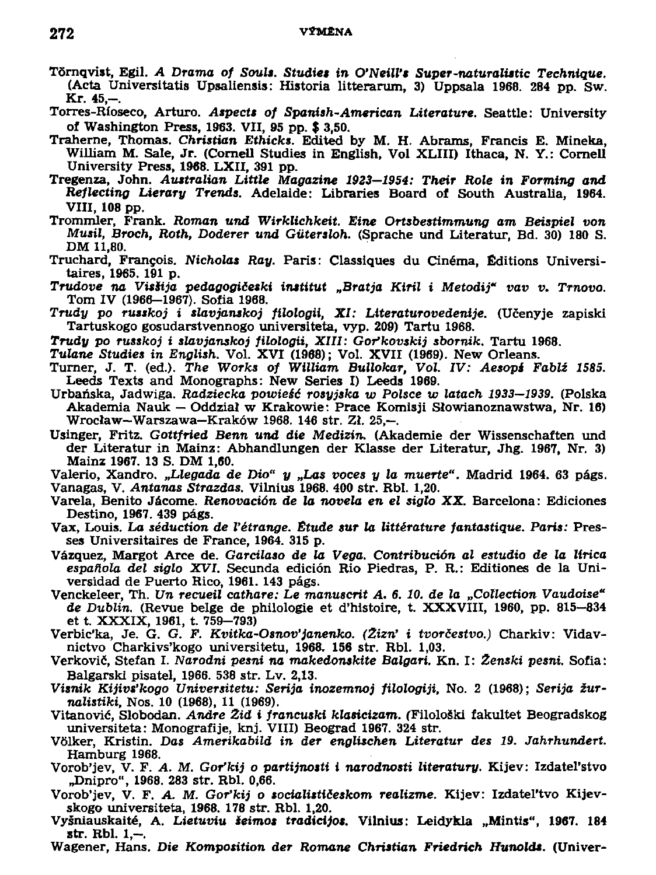- Törnqvist, Egil. A Drama of Souls. Studies in O'Neill's Super-naturalistic Technique. (Acta Universitatis Upsaliensis: Historia litterarum, 3) Uppsala 1968. 284 pp. Sw. Kr. 45,-
- Torres-Rioseco, Arturo. Aspects of Spanish-American Literature. Seattle: University of Washington Press, 1963. VII, 95 pp. \$ 3.50.
- Traherne, Thomas. Christian Ethicks. Edited by M. H. Abrams, Francis E. Mineka, William M. Sale, Jr. (Cornell Studies in English, Vol XLIII) Ithaca, N. Y.: Cornell University Press, 1968. LXII, 391 pp.
- Tregenza, John. Australian Little Magazine 1923-1954: Their Role in Forming and Reflecting Lierary Trends. Adelaide: Libraries Board of South Australia, 1964. VIII, 108 pp.
- Trommler, Frank. Roman und Wirklichkeit. Eine Ortsbestimmung am Beispiel von Musil, Broch, Roth, Doderer und Gütersloh. (Sprache und Literatur, Bd. 30) 180 S. DM 11.80.
- Truchard, François, Nicholas Ray. Paris: Classiques du Cinéma. Éditions Universitaires, 1965. 191 p.
- Trudove na Visšija pedagogičeski institut "Bratja Kiril i Metodij" vav v. Trnovo. Tom IV (1966-1967). Sofia 1968.
- Trudy po russkoj i slavjanskoj filologii, XI: Literaturovedenije. (Učenyje zapiski Tartuskogo gosudarstvennogo universiteta, vyp. 209) Tartu 1968.
- Trudy po russkoj i slavjanskoj filologii, XIII: Gor'kovskij sbornik, Tartu 1968.
- Tulane Studies in English. Vol. XVI (1968); Vol. XVII (1969). New Orleans.
- Turner, J. T. (ed.). The Works of William Bullokar, Vol. IV: Aesops Fablž 1585. Leeds Texts and Monographs: New Series I) Leeds 1969.
- Urbańska, Jadwiga, Radziecka powieść rosyjska w Polsce w latach 1933–1939. (Polska Akademia Nauk - Oddział w Krakowie: Prace Komisji Słowianoznawstwa, Nr. 16) Wrocław-Warszawa-Kraków 1968. 146 str. Zł. 25.-.
- Usinger, Fritz. Gottfried Benn und die Medizin. (Akademie der Wissenschaften und der Literatur in Mainz: Abhandlungen der Klasse der Literatur, Jhg. 1967, Nr. 3) Mainz 1967. 13 S. DM 1,60.
- Valerio, Xandro, "Llegada de Dio" y "Las voces y la muerte". Madrid 1964, 63 págs. Vanagas, V. Antanas Strazdas, Vilnius 1968. 400 str. Rbl. 1.20.
- Varela, Benito Jácome. Renovación de la novela en el siglo XX. Barcelona: Ediciones Destino, 1967. 439 págs.
- Vax, Louis. La séduction de l'étrange. Étude sur la littérature fantastique. Paris: Presses Universitaires de France, 1964, 315 p.
- Vázquez, Margot Arce de. Garcilaso de la Vega. Contribución al estudio de la lírica española del siglo XVI. Secunda edición Rio Piedras, P. R.: Editiones de la Universidad de Puerto Rico, 1961. 143 págs.
- Venckeleer, Th. Un recueil cathare: Le manuscrit A. 6. 10. de la "Collection Vaudoise" de Dublin. (Revue belge de philologie et d'histoire, t. XXXVIII, 1960, pp. 815–834 et t. XXXIX, 1961, t. 759–793)
- Verbic'ka, Je. G. G. F. Kvitka-Osnov'janenko. (Žizn' i tvorčestvo.) Charkiv: Vidavnictvo Charkivs'kogo universitetu, 1968. 156 str. Rbl. 1,03.
- Verkovič, Stefan I. Narodni pesni na makedonskite Balgari, Kn. I: Ženski pesni, Sofia: Balgarski pisatel, 1966. 538 str. Lv. 2,13.
- Visnik Kijivs'kogo Universitetu: Serija inozemnoj filologiji, No. 2 (1968); Serija žurnalistiki, Nos. 10 (1968), 11 (1969).
- Vitanović, Slobodan, Andre Žid i francuski klasicizam, (Filološki fakultet Beogradskog universiteta: Monografije, knj. VIII) Beograd 1967. 324 str.
- Völker, Kristin. Das Amerikabild in der englischen Literatur des 19. Jahrhundert. Hamburg 1968.
- Vorob'jev, V. F. A. M. Gor'kij o partijnosti i narodnosti literatury. Kijev: Izdatel'stvo "Dnipro", 1968. 283 str. Rbl. 0,66.
- Vorob'jev, V. F. A. M. Gor'kij o socialističeskom realizme. Kijev: Izdatel'tvo Kijevskogo universiteta, 1968, 178 str. Rbl. 1.20.
- Vyšniauskaité, A. Lietuviu šeimos tradicijos. Vilnius: Leidykla "Mintis", 1967. 184 str. Rbl. 1.—.
- Wagener, Hans. Die Komposition der Romane Christian Friedrich Hunolds. (Univer-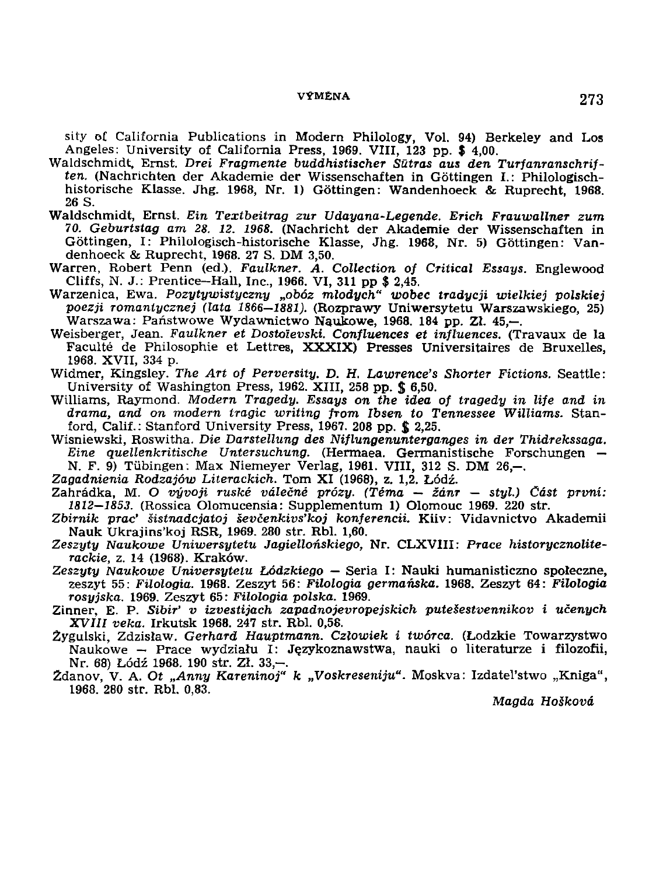**siťy of California Publications in Modern Philology, Vol. 94) Berkeley and Los Angeles: University of California Press, 1969. VIII, 123 pp. \$ 4,00.** 

- **Waldschmidt, Ernst.** *Drei Fragmente buddhistischer Sutras aus den Turfanranschriften.* **(Nachrichten der Akademie der Wissenschaften in Góttingen I.: Philologischhistorische Klasse. Jhg. 1968, Nr. 1) Góttingen: Wandenhoeck & Ruprecht, 1968. 26 S.**
- Waldschmidt, Ernst. Ein Textbeitrag zur Udayana-Legende. Erich Frauwallner zum *70. Gebunstag am 28. 12. 1968.* **(Nachricht der Akademie der Wissenschaften in Góttingen, I: Philologisch-historische Klasse, Jhg. 1968, Nr. 5) Góttingen: Vandenhoeck & Ruprecht, 1968. 27 S. DM 3,50.**
- **Warren, Robert Penn (ed.).** *Faulkner. A. Collection of Critical Essays.* **Englewood Cliffs, N. J.: Prentice-Hall, Inc., 1966. VI, 311 pp \$ 2,45.**
- **Warzenica, Ewa.** *Pozytywistyczny "obóz mlodych" wobec tradycji wielkiej polskiej •poezji Tomantycznej (lata 1866—1881).* **(Rozprawy Uniwersytetu Warszawskiego, 25) Warszawa: Paňstwowe Wydawnictwo Naukowe, 1968. 184 pp.** *Zl.* **45,—.**
- **Weisberger, Jean.** *Faulkner et Dostolevski. Confluences et influences.* **(Travaux de la Faculté de Philosophie et Lettres, XXXIX) Presses Universitaires de Bruxelles, 1968. XVII, 334** p.
- **Widmer, Kingsley.** *The Art of Perversity. D. H. Lawrence's Shorter Fictions.* **Seattle: University of Washington Press, 1962. XIII, 258 pp. \$ 6,50.**
- **Williams, Raymond.** *Modern Tragédy. Essays on the idea of tragédy in life and in drama, and on modem tragic writlng from Ibsen to Tennessee Williams.* **Stanford, Calif.: Stanford University Press, 1967. 208 pp. \$ 2,25.**
- **Wisniewski, Roswitha.** *Die Darstellung des Niflungenunterganges in der Thidrekssaga. Eine quellenkritische Untersuchung.* **(Hermaea. Germanistische Forschungen — N. F. 9) Tiibingen: Max Niemeyer Verlag, 1961. VIII, 312 S. DM 26,-.**
- *Zagadnienia Rodzajów Literackich.* **Tom XI (1968), z. 1,2. Lodž.**
- **Zahrádka, M.** *O vývoji ruské válečné prózy. (Téma žánr styl.) Část první: 1812—1853.* **(Rossica Olomucensia: Supplementum 1) Olomouc 1969. 220 str.**
- *Zbirnik prac' šistnadcjatoj ševčenkivs'koj konferencii.* **Kiiv: Vidavnictvo Akademii Nauk Ukrajins'koj RSR, 1969. 280 str. Rbl. 1,60.**
- *Zeszyty Naukowe Uniwersytetu Jagiellonskiego,* **Nr. CLXVIII:** *Prače historycznoliterackie,* **z. 14 (1968). Kraków.**
- *Zeszyty Naukowe Universytetu Lódzkiego —* **Seria I: Nauki humanisticzno spoleczne, zeszyt 55:** *Filologia.* **1968. Zeszyt 56:** *Filologia germánská.* **1968. Zeszyt 64:** *Filologia rosyjska.* **1969. Zeszyt 65:** *Filologia polska.* **1969.**
- **Zinner, E. P.** *Sibiř' v izvestijach zapadnojevropejskich putešestvennikov i učených XVIII veka.* **Irkutsk 1968. 247 str. Rbl. 0,58.**
- **Zygulski, Zdzislaw.** *Gerhard Hauptmann. Czlowiek i twórca.* **(Lodzkie Towarzystwo**  Naukowe – Prace wydziału I: Językoznawstwa, nauki o literaturze i filozofii, **Nr. 68) Lodž 1968. 190 str. ZI. 33,-.**
- **2danov, V. A.** *Ot "Anny Kareninoj" k "Voskreseniju".* **Moskva: Izdatďstwo "Kniga", 1968. 280 str. Rbl. 0,83.**

*Magda Hoškova*